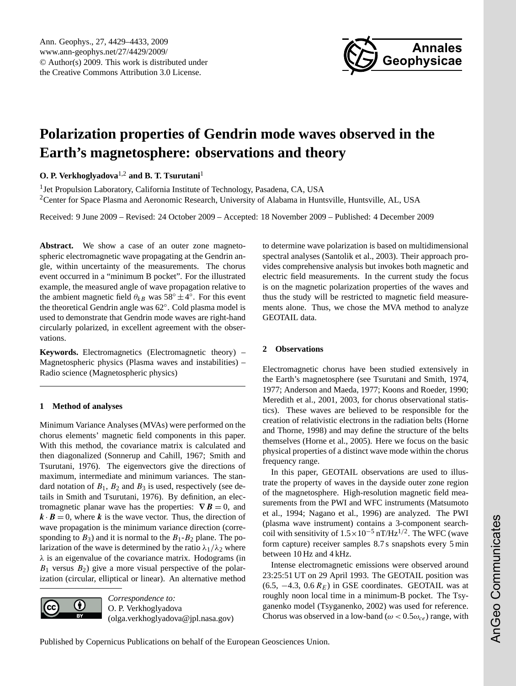

# <span id="page-0-0"></span>**Polarization properties of Gendrin mode waves observed in the Earth's magnetosphere: observations and theory**

**O. P. Verkhoglyadova**1,2 **and B. T. Tsurutani**<sup>1</sup>

<sup>1</sup> Jet Propulsion Laboratory, California Institute of Technology, Pasadena, CA, USA <sup>2</sup>Center for Space Plasma and Aeronomic Research, University of Alabama in Huntsville, Huntsville, AL, USA

Received: 9 June 2009 – Revised: 24 October 2009 – Accepted: 18 November 2009 – Published: 4 December 2009

**Abstract.** We show a case of an outer zone magnetospheric electromagnetic wave propagating at the Gendrin angle, within uncertainty of the measurements. The chorus event occurred in a "minimum B pocket". For the illustrated example, the measured angle of wave propagation relative to the ambient magnetic field  $\theta_{kB}$  was 58°  $\pm 4^{\circ}$ . For this event the theoretical Gendrin angle was 62◦ . Cold plasma model is used to demonstrate that Gendrin mode waves are right-hand circularly polarized, in excellent agreement with the observations.

**Keywords.** Electromagnetics (Electromagnetic theory) – Magnetospheric physics (Plasma waves and instabilities) – Radio science (Magnetospheric physics)

## **1 Method of analyses**

Minimum Variance Analyses (MVAs) were performed on the chorus elements' magnetic field components in this paper. With this method, the covariance matrix is calculated and then diagonalized (Sonnerup and Cahill, 1967; Smith and Tsurutani, 1976). The eigenvectors give the directions of maximum, intermediate and minimum variances. The standard notation of  $B_1$ ,  $B_2$  and  $B_3$  is used, respectively (see details in Smith and Tsurutani, 1976). By definition, an electromagnetic planar wave has the properties:  $\nabla \mathbf{B} = 0$ , and  $k \cdot B = 0$ , where k is the wave vector. Thus, the direction of wave propagation is the minimum variance direction (corresponding to  $B_3$ ) and it is normal to the  $B_1 - B_2$  plane. The polarization of the wave is determined by the ratio  $\lambda_1/\lambda_2$  where  $\lambda$  is an eigenvalue of the covariance matrix. Hodograms (in  $B_1$  versus  $B_2$ ) give a more visual perspective of the polarization (circular, elliptical or linear). An alternative method



*Correspondence to:* O. P. Verkhoglyadova (olga.verkhoglyadova@jpl.nasa.gov) to determine wave polarization is based on multidimensional spectral analyses (Santolik et al., 2003). Their approach provides comprehensive analysis but invokes both magnetic and electric field measurements. In the current study the focus is on the magnetic polarization properties of the waves and thus the study will be restricted to magnetic field measurements alone. Thus, we chose the MVA method to analyze GEOTAIL data.

### **2 Observations**

Electromagnetic chorus have been studied extensively in the Earth's magnetosphere (see Tsurutani and Smith, 1974, 1977; Anderson and Maeda, 1977; Koons and Roeder, 1990; Meredith et al., 2001, 2003, for chorus observational statistics). These waves are believed to be responsible for the creation of relativistic electrons in the radiation belts (Horne and Thorne, 1998) and may define the structure of the belts themselves (Horne et al., 2005). Here we focus on the basic physical properties of a distinct wave mode within the chorus frequency range.

In this paper, GEOTAIL observations are used to illustrate the property of waves in the dayside outer zone region of the magnetosphere. High-resolution magnetic field measurements from the PWI and WFC instruments (Matsumoto et al., 1994; Nagano et al., 1996) are analyzed. The PWI (plasma wave instrument) contains a 3-component searchcoil with sensitivity of  $1.5 \times 10^{-5}$  nT/Hz<sup>1/2</sup>. The WFC (wave form capture) receiver samples 8.7 s snapshots every 5 min between 10 Hz and 4 kHz.

Intense electromagnetic emissions were observed around 23:25:51 UT on 29 April 1993. The GEOTAIL position was (6.5,  $-4.3$ , 0.6  $R_E$ ) in GSE coordinates. GEOTAIL was at roughly noon local time in a minimum-B pocket. The Tsyganenko model (Tsyganenko, 2002) was used for reference. Chorus was observed in a low-band ( $\omega < 0.5 \omega_{ce}$ ) range, with

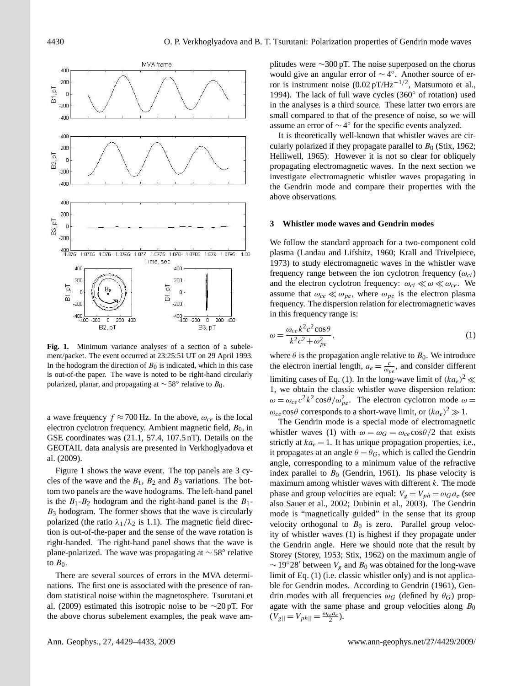

**Fig. 1.** Minimum variance analyses of a section of a subelement/packet. The event occurred at 23:25:51 UT on 29 April 1993. In the hodogram the direction of  $B_0$  is indicated, which in this case is out-of-the paper. The wave is noted to be right-hand circularly polarized, planar, and propagating at  $\sim$  58° relative to  $B_0$ .

a wave frequency  $f \approx 700$  Hz. In the above,  $\omega_{ce}$  is the local electron cyclotron frequency. Ambient magnetic field,  $B_0$ , in GSE coordinates was (21.1, 57.4, 107.5 nT). Details on the GEOTAIL data analysis are presented in Verkhoglyadova et al. (2009).

Figure 1 shows the wave event. The top panels are 3 cycles of the wave and the  $B_1$ ,  $B_2$  and  $B_3$  variations. The bottom two panels are the wave hodograms. The left-hand panel is the  $B_1 - B_2$  hodogram and the right-hand panel is the  $B_1$ - $B_3$  hodogram. The former shows that the wave is circularly polarized (the ratio  $\lambda_1/\lambda_2$  is 1.1). The magnetic field direction is out-of-the-paper and the sense of the wave rotation is right-handed. The right-hand panel shows that the wave is plane-polarized. The wave was propagating at ∼ 58◦ relative to  $B_0$ .

There are several sources of errors in the MVA determinations. The first one is associated with the presence of random statistical noise within the magnetosphere. Tsurutani et al. (2009) estimated this isotropic noise to be ∼20 pT. For the above chorus subelement examples, the peak wave amplitudes were  $\sim$ 300 pT. The noise superposed on the chorus would give an angular error of  $\sim$  4°. Another source of error is instrument noise  $(0.02 \text{ pT/Hz}^{-1/2}$ , Matsumoto et al., 1994). The lack of full wave cycles (360° of rotation) used in the analyses is a third source. These latter two errors are small compared to that of the presence of noise, so we will assume an error of  $\sim$  4 $\degree$  for the specific events analyzed.

It is theoretically well-known that whistler waves are circularly polarized if they propagate parallel to  $B_0$  (Stix, 1962; Helliwell, 1965). However it is not so clear for obliquely propagating electromagnetic waves. In the next section we investigate electromagnetic whistler waves propagating in the Gendrin mode and compare their properties with the above observations.

#### **3 Whistler mode waves and Gendrin modes**

We follow the standard approach for a two-component cold plasma (Landau and Lifshitz, 1960; Krall and Trivelpiece, 1973) to study electromagnetic waves in the whistler wave frequency range between the ion cyclotron frequency  $(\omega_{ci})$ and the electron cyclotron frequency:  $\omega_{ci} \ll \omega \ll \omega_{ce}$ . We assume that  $\omega_{ce} \ll \omega_{pe}$ , where  $\omega_{pe}$  is the electron plasma frequency. The dispersion relation for electromagnetic waves in this frequency range is:

$$
\omega = \frac{\omega_{ce} k^2 c^2 \cos \theta}{k^2 c^2 + \omega_{pe}^2},\tag{1}
$$

where  $\theta$  is the propagation angle relative to  $B_0$ . We introduce the electron inertial length,  $a_e = \frac{c}{\omega_{pe}}$ , and consider different limiting cases of Eq. (1). In the long-wave limit of  $(ka_e)^2 \ll$ 1, we obtain the classic whistler wave dispersion relation:  $\omega = \omega_{ce} c^2 k^2 \cos{\theta} / \omega_{pe}^2$ . The electron cyclotron mode  $\omega =$  $\omega_{ce}$ cos $\theta$  corresponds to a short-wave limit, or  $(ka_e)^2 \gg 1$ .

The Gendrin mode is a special mode of electromagnetic whistler waves (1) with  $\omega = \omega_G = \omega_{ce} \cos{\theta/2}$  that exists strictly at  $ka_e = 1$ . It has unique propagation properties, i.e., it propagates at an angle  $\theta = \theta_G$ , which is called the Gendrin angle, corresponding to a minimum value of the refractive index parallel to  $B_0$  (Gendrin, 1961). Its phase velocity is maximum among whistler waves with different  $k$ . The mode phase and group velocities are equal:  $V_g = V_{ph} = \omega_G a_e$  (see also Sauer et al., 2002; Dubinin et al., 2003). The Gendrin mode is "magnetically guided" in the sense that its group velocity orthogonal to  $B_0$  is zero. Parallel group velocity of whistler waves (1) is highest if they propagate under the Gendrin angle. Here we should note that the result by Storey (Storey, 1953; Stix, 1962) on the maximum angle of  $\sim$  19°28' between  $V_g$  and  $B_0$  was obtained for the long-wave limit of Eq. (1) (i.e. classic whistler only) and is not applicable for Gendrin modes. According to Gendrin (1961), Gendrin modes with all frequencies  $\omega_G$  (defined by  $\theta_G$ ) propagate with the same phase and group velocities along  $B_0$  $(V_{g||} = V_{ph||} = \frac{\omega_{ce} a_e}{2}).$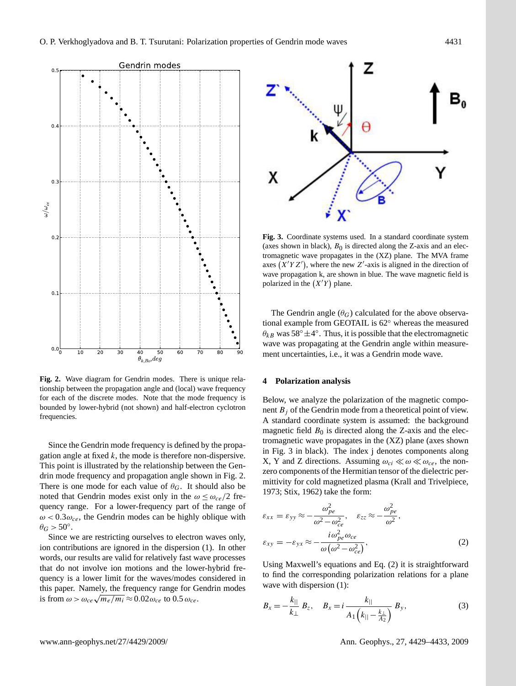

**Fig. 2.** Wave diagram for Gendrin modes. There is unique relationship between the propagation angle and (local) wave frequency for each of the discrete modes. Note that the mode frequency is bounded by lower-hybrid (not shown) and half-electron cyclotron frequencies.

Since the Gendrin mode frequency is defined by the propagation angle at fixed  $k$ , the mode is therefore non-dispersive. This point is illustrated by the relationship between the Gendrin mode frequency and propagation angle shown in Fig. 2. There is one mode for each value of  $\theta_G$ . It should also be noted that Gendrin modes exist only in the  $\omega \leq \omega_{ce}/2$  frequency range. For a lower-frequency part of the range of  $\omega$  < 0.3 $\omega_{ce}$ , the Gendrin modes can be highly oblique with  $\theta_G > 50^\circ.$ 

Since we are restricting ourselves to electron waves only, ion contributions are ignored in the dispersion (1). In other words, our results are valid for relatively fast wave processes that do not involve ion motions and the lower-hybrid frequency is a lower limit for the waves/modes considered in this paper. Namely, the frequency range for Gendrin modes this paper. Namely, the frequency range for G<br>is from  $\omega > \omega_{ce} \sqrt{m_e/m_i} \approx 0.02 \omega_{ce}$  to  $0.5 \omega_{ce}$ .



**Fig. 3.** Coordinate systems used. In a standard coordinate system (axes shown in black),  $B_0$  is directed along the Z-axis and an electromagnetic wave propagates in the (XZ) plane. The MVA frame axes  $(X'YZ')$ , where the new Z'-axis is aligned in the direction of wave propagation k, are shown in blue. The wave magnetic field is polarized in the  $(X'Y)$  plane.

The Gendrin angle  $(\theta_G)$  calculated for the above observational example from GEOTAIL is 62◦ whereas the measured  $\theta_{kB}$  was 58° $\pm 4$ °. Thus, it is possible that the electromagnetic wave was propagating at the Gendrin angle within measurement uncertainties, i.e., it was a Gendrin mode wave.

#### **4 Polarization analysis**

Below, we analyze the polarization of the magnetic component  $B_i$  of the Gendrin mode from a theoretical point of view. A standard coordinate system is assumed: the background magnetic field  $B_0$  is directed along the Z-axis and the electromagnetic wave propagates in the (XZ) plane (axes shown in Fig. 3 in black). The index j denotes components along X, Y and Z directions. Assuming  $\omega_{ci} \ll \omega \ll \omega_{ce}$ , the nonzero components of the Hermitian tensor of the dielectric permittivity for cold magnetized plasma (Krall and Trivelpiece, 1973; Stix, 1962) take the form:

$$
\varepsilon_{xx} = \varepsilon_{yy} \approx -\frac{\omega_{pe}^2}{\omega^2 - \omega_{ce}^2}, \quad \varepsilon_{zz} \approx -\frac{\omega_{pe}^2}{\omega^2},
$$

$$
\varepsilon_{xy} = -\varepsilon_{yx} \approx -\frac{i\omega_{pe}^2 \omega_{ce}}{\omega(\omega^2 - \omega_{ce}^2)},
$$
(2)

Using Maxwell's equations and Eq. (2) it is straightforward to find the corresponding polarization relations for a plane wave with dispersion (1):

$$
B_x = -\frac{k_{||}}{k_{\perp}} B_z, \quad B_x = i \frac{k_{||}}{A_1 (k_{||} - \frac{k_{\perp}}{A_2})} B_y,
$$
 (3)

www.ann-geophys.net/27/4429/2009/ Ann. Geophys., 27, 4429[–4433,](#page-0-0) 2009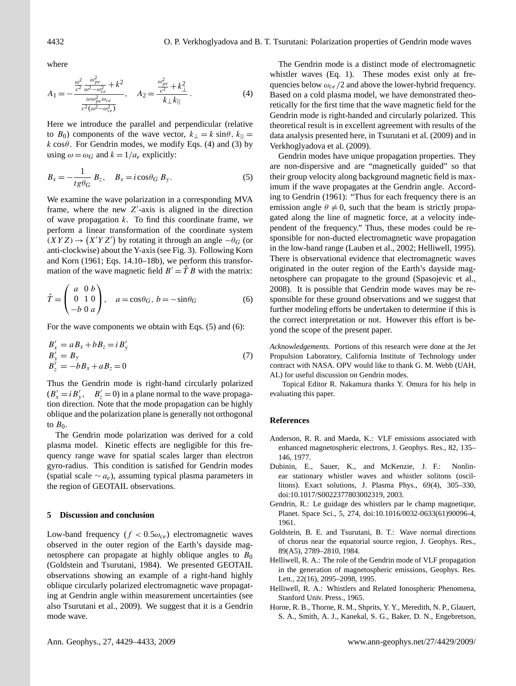where

$$
A_1 = -\frac{\frac{\omega^2}{c^2} \frac{\omega_{pe}^2}{\omega^2 - \omega_{ce}^2} + k^2}{\frac{\omega \omega_{pe}^2 \omega_{ce}}{c^2(\omega^2 - \omega_{ce}^2)}}, \quad A_2 = \frac{\frac{\omega_{pe}^2}{c^2} + k_{\perp}^2}{k_{\perp} k_{||}}.
$$
 (4)

Here we introduce the parallel and perpendicular (relative to  $B_0$ ) components of the wave vector,  $k_{\perp} = k \sin\theta$ ,  $k_{\parallel} =$ k cos $\theta$ . For Gendrin modes, we modify Eqs. (4) and (3) by using  $\omega = \omega_G$  and  $k = 1/a_e$  explicitly:

$$
B_x = -\frac{1}{tg\theta_G} B_z, \quad B_x = i\cos\theta_G B_y. \tag{5}
$$

We examine the wave polarization in a corresponding MVA frame, where the new  $Z'$ -axis is aligned in the direction of wave propagation  $k$ . To find this coordinate frame, we perform a linear transformation of the coordinate system  $(XYZ) \rightarrow (X'YZ')$  by rotating it through an angle  $-\theta_G$  (or anti-clockwise) about the Y-axis (see Fig. 3). Following Korn and Korn (1961; Eqs. 14.10–18b), we perform this transformation of the wave magnetic field  $B' = \hat{T} B$  with the matrix:

$$
\hat{T} = \begin{pmatrix} a & 0 & b \\ 0 & 1 & 0 \\ -b & 0 & a \end{pmatrix}, \quad a = \cos\theta_G, \ b = -\sin\theta_G \tag{6}
$$

For the wave components we obtain with Eqs. (5) and (6):

$$
B'_x = aB_x + bB_z = iB'_y
$$
  
\n
$$
B'_y = B_y
$$
  
\n
$$
B'_z = -bB_x + aB_z = 0
$$
\n(7)

Thus the Gendrin mode is right-hand circularly polarized  $(B'_x = i B'_y, \quad B'_z = 0)$  in a plane normal to the wave propagation direction. Note that the mode propagation can be highly oblique and the polarization plane is generally not orthogonal to  $B_0$ .

The Gendrin mode polarization was derived for a cold plasma model. Kinetic effects are negligible for this frequency range wave for spatial scales larger than electron gyro-radius. This condition is satisfied for Gendrin modes (spatial scale  $\sim a_e$ ), assuming typical plasma parameters in the region of GEOTAIL observations.

#### **5 Discussion and conclusion**

Low-band frequency  $(f < 0.5\omega_{ce})$  electromagnetic waves observed in the outer region of the Earth's dayside magnetosphere can propagate at highly oblique angles to  $B_0$ (Goldstein and Tsurutani, 1984). We presented GEOTAIL observations showing an example of a right-hand highly oblique circularly polarized electromagnetic wave propagating at Gendrin angle within measurement uncertainties (see also Tsurutani et al., 2009). We suggest that it is a Gendrin mode wave.

The Gendrin mode is a distinct mode of electromagnetic whistler waves (Eq. 1). These modes exist only at frequencies below  $\omega_{ce}/2$  and above the lower-hybrid frequency. Based on a cold plasma model, we have demonstrated theoretically for the first time that the wave magnetic field for the Gendrin mode is right-handed and circularly polarized. This theoretical result is in excellent agreement with results of the data analysis presented here, in Tsurutani et al. (2009) and in Verkhoglyadova et al. (2009).

Gendrin modes have unique propagation properties. They are non-dispersive and are "magnetically guided" so that their group velocity along background magnetic field is maximum if the wave propagates at the Gendrin angle. According to Gendrin (1961): "Thus for each frequency there is an emission angle  $\theta \neq 0$ , such that the beam is strictly propagated along the line of magnetic force, at a velocity independent of the frequency." Thus, these modes could be responsible for non-ducted electromagnetic wave propagation in the low-band range (Lauben et al., 2002; Helliwell, 1995). There is observational evidence that electromagnetic waves originated in the outer region of the Earth's dayside magnetosphere can propagate to the ground (Spasojevic et al., 2008). It is possible that Gendrin mode waves may be responsible for these ground observations and we suggest that further modeling efforts be undertaken to determine if this is the correct interpretation or not. However this effort is beyond the scope of the present paper.

*Acknowledgements.* Portions of this research were done at the Jet Propulsion Laboratory, California Institute of Technology under contract with NASA. OPV would like to thank G. M. Webb (UAH, AL) for useful discussion on Gendrin modes.

Topical Editor R. Nakamura thanks Y. Omura for his help in evaluating this paper.

#### **References**

- Anderson, R. R. and Maeda, K.: VLF emissions associated with enhanced magnetospheric electrons, J. Geophys. Res., 82, 135– 146, 1977.
- Dubinin, E., Sauer, K., and McKenzie, J. F.: Nonlinear stationary whistler waves and whistler solitons (oscillitons). Exact solutions, J. Plasma Phys., 69(4), 305–330, doi:10.1017/S0022377803002319, 2003.
- Gendrin, R.: Le guidage des whistlers par le champ magnetique, Planet. Space Sci., 5, 274, doi:10.1016/0032-0633(61)90096-4, 1961.
- Goldstein, B. E. and Tsurutani, B. T.: Wave normal directions of chorus near the equatorial source region, J. Geophys. Res., 89(A5), 2789–2810, 1984.
- Helliwell, R. A.: The role of the Gendrin mode of VLF propagation in the generation of magnetospheric emissions, Geophys. Res. Lett., 22(16), 2095–2098, 1995.
- Helliwell, R. A.: Whistlers and Related Ionospheric Phenomena, Stanford Univ. Press., 1965.
- Horne, R. B., Thorne, R. M., Shprits, Y. Y., Meredith, N. P., Glauert, S. A., Smith, A. J., Kanekal, S. G., Baker, D. N., Engebretson,